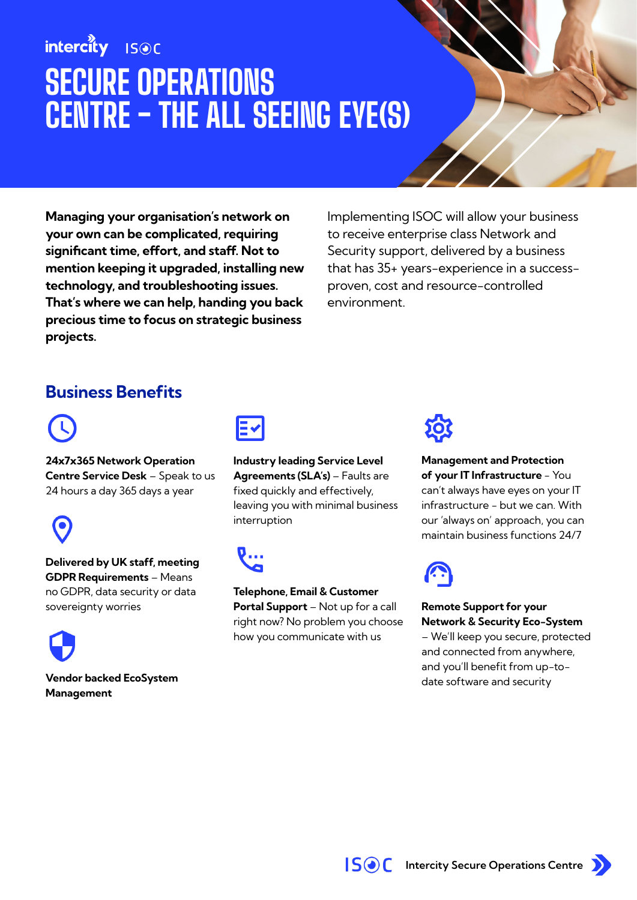## intercity **ISOC** SECURE OPERATIONS CENTRE - THE ALL SEEING EYE(S)

Managing your organisation's network on your own can be complicated, requiring significant time, effort, and staff. Not to mention keeping it upgraded, installing new technology, and troubleshooting issues. That's where we can help, handing you back precious time to focus on strategic business projects.

Implementing ISOC will allow your business to receive enterprise class Network and Security support, delivered by a business that has 35+ years-experience in a successproven, cost and resource-controlled environment.

### Business Benefits



24x7x365 Network Operation Centre Service Desk – Speak to us 24 hours a day 365 days a year



Delivered by UK staff, meeting GDPR Requirements – Means no GDPR, data security or data sovereignty worries



Vendor backed EcoSystem Management



Industry leading Service Level Agreements (SLA's) - Faults are fixed quickly and effectively, leaving you with minimal business interruption



Telephone, Email & Customer Portal Support – Not up for a call right now? No problem you choose how you communicate with us



Management and Protection of your IT Infrastructure - You can't always have eyes on your IT infrastructure - but we can. With our 'always on' approach, you can maintain business functions 24/7



Remote Support for your Network & Security Eco-System

– We'll keep you secure, protected and connected from anywhere, and you'll benefit from up-todate software and security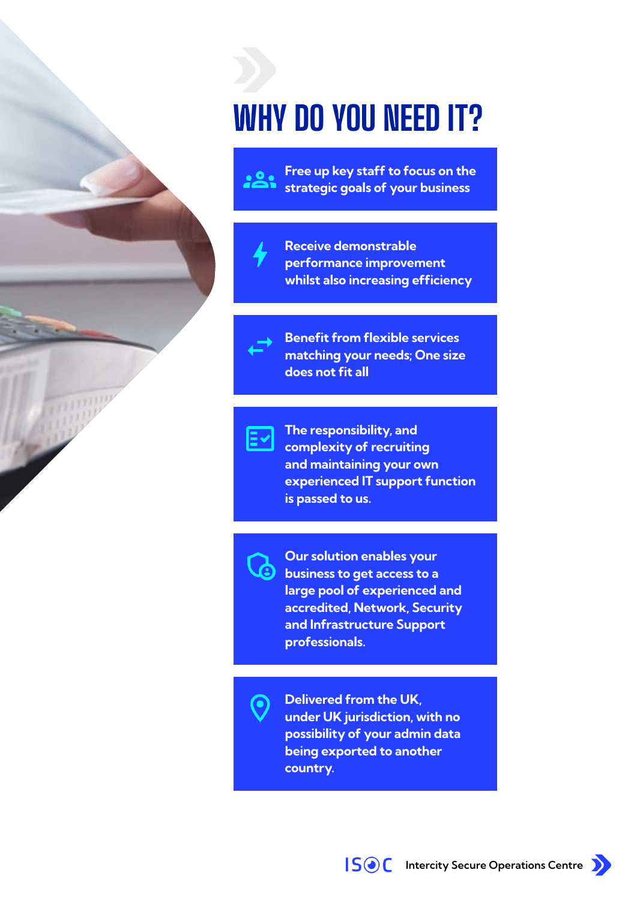## WHY DO YOU NEED IT?



Free up key staff to focus on the strategic goals of your business



Receive demonstrable performance improvement whilst also increasing efficiency



Benefit from flexible services matching your needs; One size does not fit all



The responsibility, and complexity of recruiting and maintaining your own experienced IT support function is passed to us.



Our solution enables your business to get access to a large pool of experienced and accredited, Network, Security and Infrastructure Support professionals.

Delivered from the UK, under UK jurisdiction, with no possibility of your admin data being exported to another country.